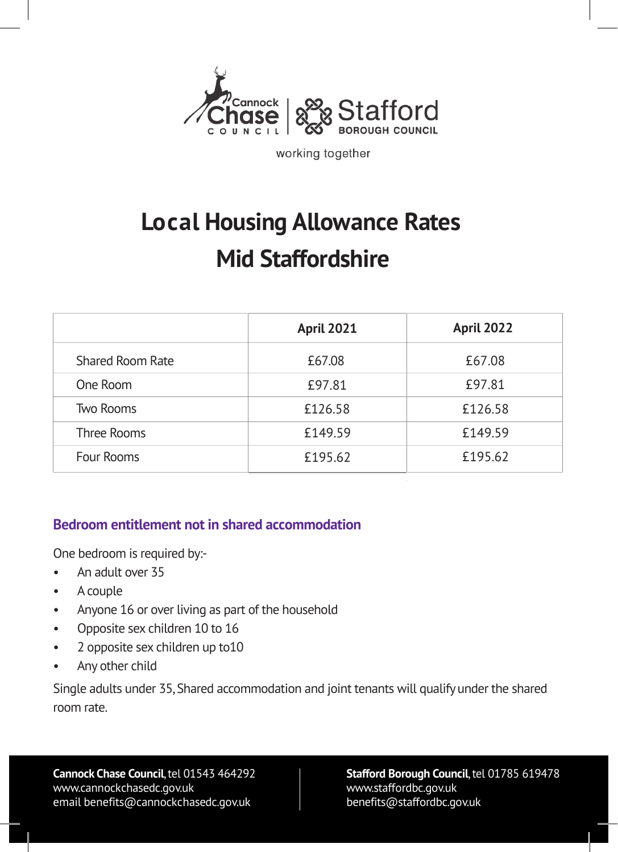

working together

# **Local Housing Allowance Rates Mid Staffordshire**

|                  | <b>April 2021</b> | <b>April 2022</b> |
|------------------|-------------------|-------------------|
| Shared Room Rate | £67.08            | £67.08            |
| One Room         | £97.81            | £97.81            |
| <b>Two Rooms</b> | £126.58           | £126.58           |
| Three Rooms      | £149.59           | £149.59           |
| Four Rooms       | £195.62           | £195.62           |

#### **Bedroom entitlement not in shared accommodation**

One bedroom is required by:-

- An adult over 35
- A couple
- Anyone 16 or over living as part of the household
- Opposite sex children 10 to 16
- 2 opposite sex children up to10
- Any other child

Single adults under 35, Shared accommodation and joint tenants will qualify under the shared room rate.

**Cannock Chase Council**, tel 01543 464292 <www.cannockchasedc.gov.uk> email benefits@cannockchasedc.gov.uk

#### **Stafford Borough Council**, tel 01785 619478 <www.staffordbc.gov.uk> benefits@staffordbc.gov.uk